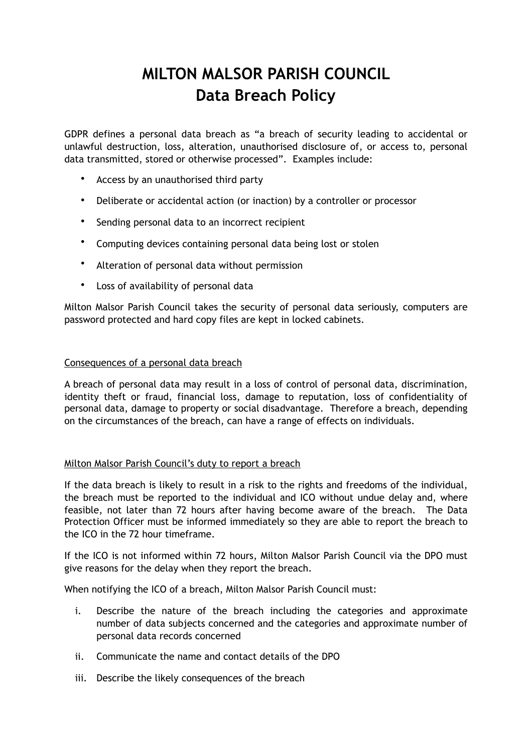# **MILTON MALSOR PARISH COUNCIL Data Breach Policy**

GDPR defines a personal data breach as "a breach of security leading to accidental or unlawful destruction, loss, alteration, unauthorised disclosure of, or access to, personal data transmitted, stored or otherwise processed". Examples include:

- Access by an unauthorised third party
- Deliberate or accidental action (or inaction) by a controller or processor
- Sending personal data to an incorrect recipient
- Computing devices containing personal data being lost or stolen
- Alteration of personal data without permission
- Loss of availability of personal data

Milton Malsor Parish Council takes the security of personal data seriously, computers are password protected and hard copy files are kept in locked cabinets.

## Consequences of a personal data breach

A breach of personal data may result in a loss of control of personal data, discrimination, identity theft or fraud, financial loss, damage to reputation, loss of confidentiality of personal data, damage to property or social disadvantage. Therefore a breach, depending on the circumstances of the breach, can have a range of effects on individuals.

## Milton Malsor Parish Council's duty to report a breach

If the data breach is likely to result in a risk to the rights and freedoms of the individual, the breach must be reported to the individual and ICO without undue delay and, where feasible, not later than 72 hours after having become aware of the breach. The Data Protection Officer must be informed immediately so they are able to report the breach to the ICO in the 72 hour timeframe.

If the ICO is not informed within 72 hours, Milton Malsor Parish Council via the DPO must give reasons for the delay when they report the breach.

When notifying the ICO of a breach, Milton Malsor Parish Council must:

- i. Describe the nature of the breach including the categories and approximate number of data subjects concerned and the categories and approximate number of personal data records concerned
- ii. Communicate the name and contact details of the DPO
- iii. Describe the likely consequences of the breach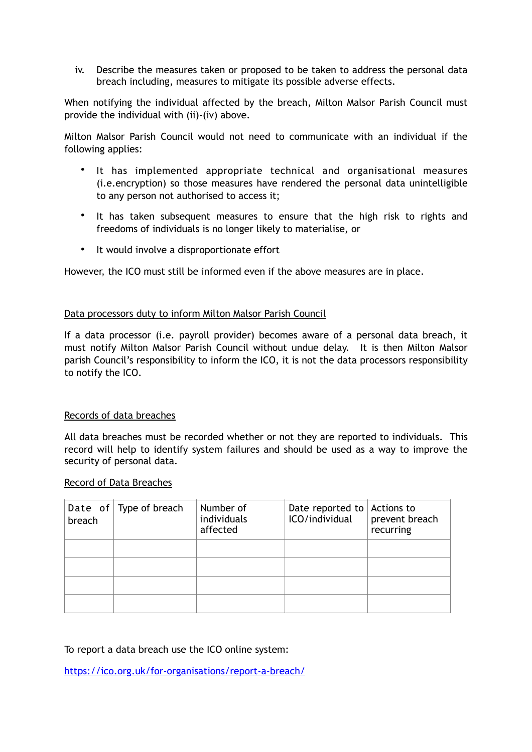iv. Describe the measures taken or proposed to be taken to address the personal data breach including, measures to mitigate its possible adverse effects.

When notifying the individual affected by the breach, Milton Malsor Parish Council must provide the individual with (ii)-(iv) above.

Milton Malsor Parish Council would not need to communicate with an individual if the following applies:

- It has implemented appropriate technical and organisational measures (i.e.encryption) so those measures have rendered the personal data unintelligible to any person not authorised to access it;
- It has taken subsequent measures to ensure that the high risk to rights and freedoms of individuals is no longer likely to materialise, or
- It would involve a disproportionate effort

However, the ICO must still be informed even if the above measures are in place.

### Data processors duty to inform Milton Malsor Parish Council

If a data processor (i.e. payroll provider) becomes aware of a personal data breach, it must notify Milton Malsor Parish Council without undue delay. It is then Milton Malsor parish Council's responsibility to inform the ICO, it is not the data processors responsibility to notify the ICO.

## Records of data breaches

All data breaches must be recorded whether or not they are reported to individuals. This record will help to identify system failures and should be used as a way to improve the security of personal data.

#### Record of Data Breaches

| breach | Date of $\sqrt{ }$ Type of breach | Number of<br>individuals<br>affected | Date reported to $\vert$ Actions to<br>ICO/individual | prevent breach<br>recurring |
|--------|-----------------------------------|--------------------------------------|-------------------------------------------------------|-----------------------------|
|        |                                   |                                      |                                                       |                             |
|        |                                   |                                      |                                                       |                             |
|        |                                   |                                      |                                                       |                             |
|        |                                   |                                      |                                                       |                             |

To report a data breach use the ICO online system:

<https://ico.org.uk/for-organisations/report-a-breach/>